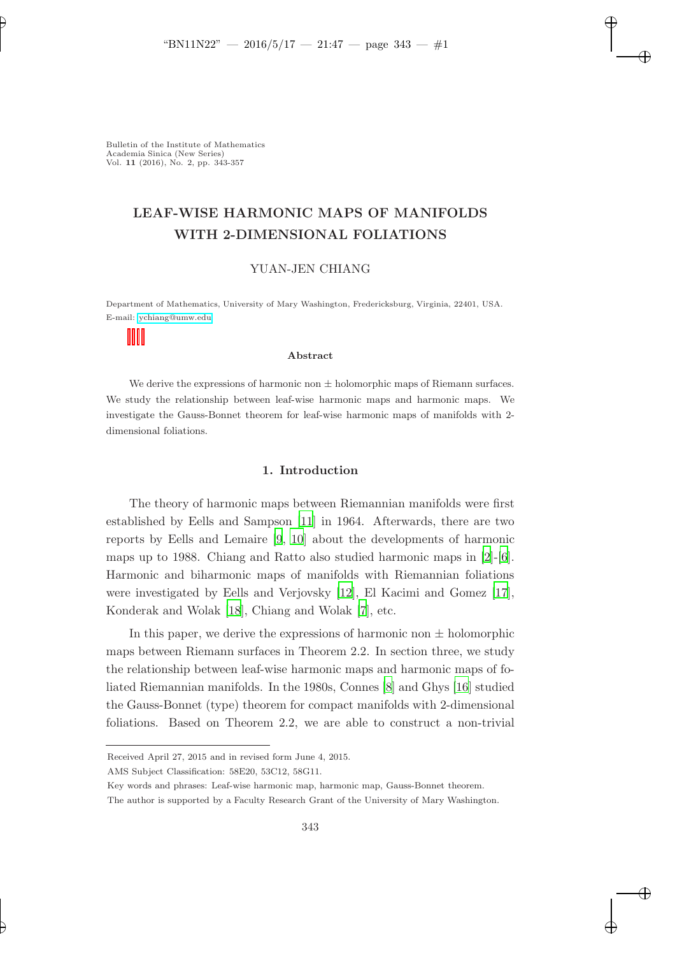# LEAF-WISE HARMONIC MAPS OF MANIFOLDS WITH 2-DIMENSIONAL FOLIATIONS

# YUAN-JEN CHIANG

Department of Mathematics, University of Mary Washington, Fredericksburg, Virginia, 22401, USA. E-mail:<ychiang@umw.edu>

#### Abstract

We derive the expressions of harmonic non  $\pm$  holomorphic maps of Riemann surfaces. We study the relationship between leaf-wise harmonic maps and harmonic maps. We investigate the Gauss-Bonnet theorem for leaf-wise harmonic maps of manifolds with 2 dimensional foliations.

## 1. Introduction

The theory of harmonic maps between Riemannian manifolds were first established by Eells and Sampson [\[11](#page-14-0)] in 1964. Afterwards, there are two reports by Eells and Lemaire [\[9,](#page-14-1) [10](#page-14-2)] about the developments of harmonic maps up to 1988. Chiang and Ratto also studied harmonic maps in [\[2](#page-13-0)]-[\[6](#page-13-1)]. Harmonic and biharmonic maps of manifolds with Riemannian foliations were investigated by Eells and Verjovsky [\[12](#page-14-3)], El Kacimi and Gomez [\[17](#page-14-4)], Konderak and Wolak [\[18](#page-14-5)], Chiang and Wolak [\[7\]](#page-14-6), etc.

In this paper, we derive the expressions of harmonic non  $\pm$  holomorphic maps between Riemann surfaces in Theorem 2.2. In section three, we study the relationship between leaf-wise harmonic maps and harmonic maps of foliated Riemannian manifolds. In the 1980s, Connes [\[8](#page-14-7)] and Ghys [\[16\]](#page-14-8) studied the Gauss-Bonnet (type) theorem for compact manifolds with 2-dimensional foliations. Based on Theorem 2.2, we are able to construct a non-trivial

Received April 27, 2015 and in revised form June 4, 2015.

AMS Subject Classification: 58E20, 53C12, 58G11.

Key words and phrases: Leaf-wise harmonic map, harmonic map, Gauss-Bonnet theorem.

The author is supported by a Faculty Research Grant of the University of Mary Washington.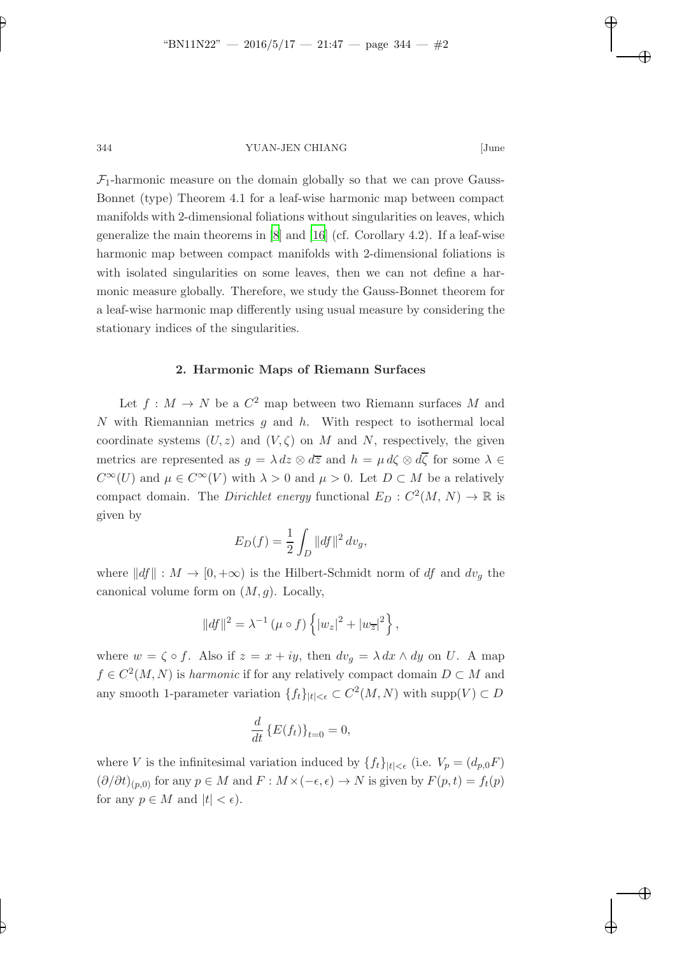$\mathcal{F}_1$ -harmonic measure on the domain globally so that we can prove Gauss-Bonnet (type) Theorem 4.1 for a leaf-wise harmonic map between compact manifolds with 2-dimensional foliations without singularities on leaves, which generalize the main theorems in  $[8]$  and  $[16]$  (cf. Corollary 4.2). If a leaf-wise harmonic map between compact manifolds with 2-dimensional foliations is with isolated singularities on some leaves, then we can not define a harmonic measure globally. Therefore, we study the Gauss-Bonnet theorem for a leaf-wise harmonic map differently using usual measure by considering the stationary indices of the singularities.

#### 2. Harmonic Maps of Riemann Surfaces

Let  $f: M \to N$  be a  $C^2$  map between two Riemann surfaces M and N with Riemannian metrics  $q$  and  $h$ . With respect to isothermal local coordinate systems  $(U, z)$  and  $(V, \zeta)$  on M and N, respectively, the given metrics are represented as  $g = \lambda dz \otimes d\overline{z}$  and  $h = \mu d\zeta \otimes d\overline{\zeta}$  for some  $\lambda \in$  $C^{\infty}(U)$  and  $\mu \in C^{\infty}(V)$  with  $\lambda > 0$  and  $\mu > 0$ . Let  $D \subset M$  be a relatively compact domain. The *Dirichlet energy* functional  $E_D : C^2(M, N) \to \mathbb{R}$  is given by

$$
E_D(f) = \frac{1}{2} \int_D ||df||^2 \, dv_g,
$$

where  $||df|| : M \to [0, +\infty)$  is the Hilbert-Schmidt norm of df and  $dv_g$  the canonical volume form on  $(M, g)$ . Locally,

$$
||df||^{2} = \lambda^{-1} (\mu \circ f) \left\{ |w_{z}|^{2} + |w_{\overline{z}}|^{2} \right\},\,
$$

where  $w = \zeta \circ f$ . Also if  $z = x + iy$ , then  $dv_g = \lambda dx \wedge dy$  on U. A map  $f \in C^2(M, N)$  is harmonic if for any relatively compact domain  $D \subset M$  and any smooth 1-parameter variation  $\{f_t\}_{|t|<\epsilon} \subset C^2(M, N)$  with supp $(V) \subset D$ 

$$
\frac{d}{dt}\left\{E(f_t)\right\}_{t=0}=0,
$$

where V is the infinitesimal variation induced by  $\{f_t\}_{|t|<\epsilon}$  (i.e.  $V_p=(d_{p,0}F)$  $(\partial/\partial t)_{(p,0)}$  for any  $p \in M$  and  $F : M \times (-\epsilon, \epsilon) \to N$  is given by  $F(p, t) = f_t(p)$ for any  $p \in M$  and  $|t| < \epsilon$ ).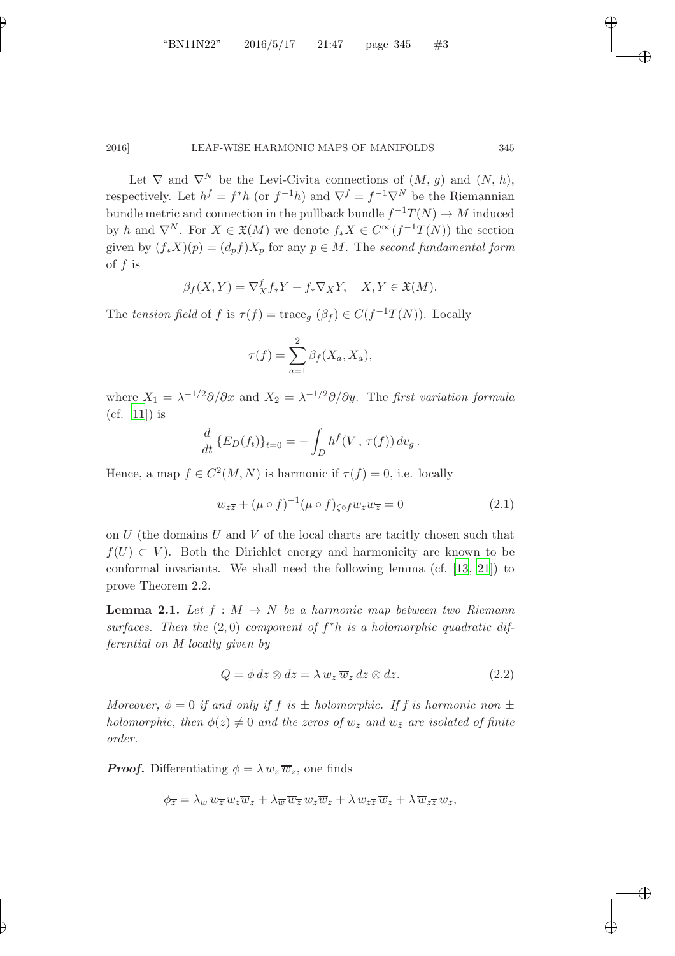Let  $\nabla$  and  $\nabla^N$  be the Levi-Civita connections of  $(M, g)$  and  $(N, h)$ , respectively. Let  $h^f = f^*h$  (or  $f^{-1}h$ ) and  $\nabla^f = f^{-1}\nabla^N$  be the Riemannian bundle metric and connection in the pullback bundle  $f^{-1}T(N) \to M$  induced by h and  $\nabla^N$ . For  $X \in \mathfrak{X}(M)$  we denote  $f_*X \in C^\infty(f^{-1}T(N))$  the section given by  $(f_*X)(p) = (d_p f)X_p$  for any  $p \in M$ . The second fundamental form of f is

$$
\beta_f(X,Y) = \nabla^f_X f_* Y - f_* \nabla_X Y, \quad X, Y \in \mathfrak{X}(M).
$$

The tension field of f is  $\tau(f) = \text{trace}_g(\beta_f) \in C(f^{-1}T(N))$ . Locally

$$
\tau(f) = \sum_{a=1}^{2} \beta_f(X_a, X_a),
$$

where  $X_1 = \lambda^{-1/2} \partial/\partial x$  and  $X_2 = \lambda^{-1/2} \partial/\partial y$ . The first variation formula (cf. [\[11](#page-14-0)]) is

$$
\frac{d}{dt} \{ E_D(f_t) \}_{t=0} = - \int_D h^f(V, \tau(f)) dv_g.
$$

Hence, a map  $f \in C^2(M, N)$  is harmonic if  $\tau(f) = 0$ , i.e. locally

<span id="page-2-0"></span>
$$
w_{z\overline{z}} + (\mu \circ f)^{-1} (\mu \circ f)_{\zeta \circ f} w_z w_{\overline{z}} = 0 \tag{2.1}
$$

on  $U$  (the domains  $U$  and  $V$  of the local charts are tacitly chosen such that  $f(U) \subset V$ ). Both the Dirichlet energy and harmonicity are known to be conformal invariants. We shall need the following lemma (cf.  $[13, 21]$  $[13, 21]$  $[13, 21]$ ) to prove Theorem 2.2.

**Lemma 2.1.** Let  $f : M \to N$  be a harmonic map between two Riemann surfaces. Then the  $(2,0)$  component of  $f^*h$  is a holomorphic quadratic differential on M locally given by

$$
Q = \phi \, dz \otimes dz = \lambda \, w_z \, \overline{w}_z \, dz \otimes dz. \tag{2.2}
$$

Moreover,  $\phi = 0$  if and only if f is  $\pm$  holomorphic. If f is harmonic non  $\pm$ holomorphic, then  $\phi(z) \neq 0$  and the zeros of  $w_z$  and  $w_{\bar{z}}$  are isolated of finite order.

**Proof.** Differentiating  $\phi = \lambda w_z \overline{w}_z$ , one finds

$$
\phi_{\overline{z}} = \lambda_w w_{\overline{z}} w_z \overline{w}_z + \lambda_{\overline{w}} \overline{w}_{\overline{z}} w_z \overline{w}_z + \lambda w_{z\overline{z}} \overline{w}_z + \lambda \overline{w}_{z\overline{z}} w_z,
$$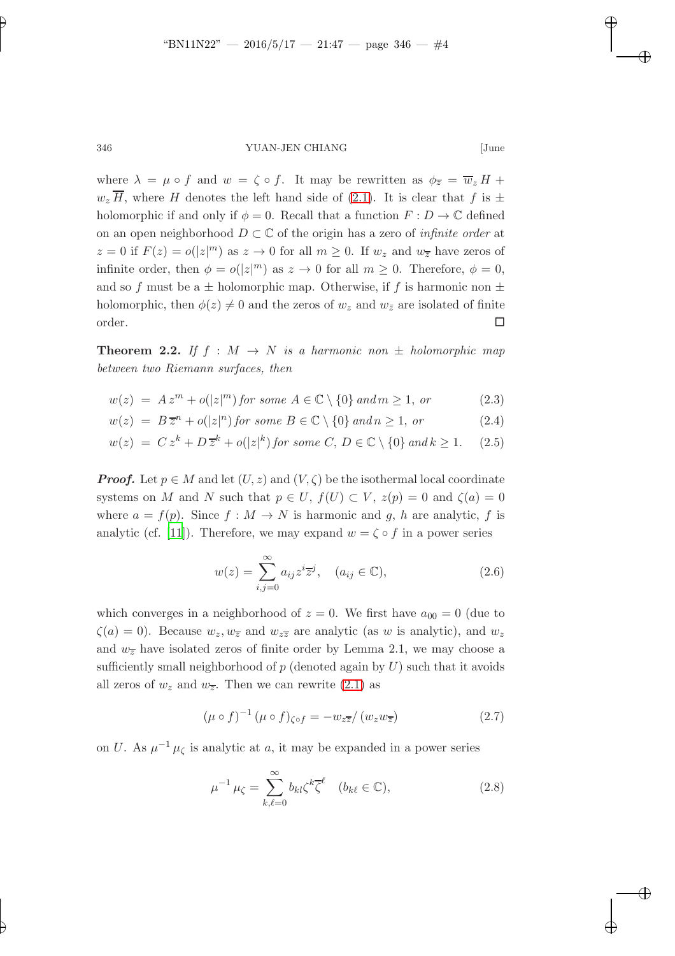where  $\lambda = \mu \circ f$  and  $w = \zeta \circ f$ . It may be rewritten as  $\phi_{\overline{z}} = \overline{w}_z H +$  $w_z$  H, where H denotes the left hand side of [\(2.1\)](#page-2-0). It is clear that f is  $\pm$ holomorphic if and only if  $\phi = 0$ . Recall that a function  $F : D \to \mathbb{C}$  defined on an open neighborhood  $D \subset \mathbb{C}$  of the origin has a zero of *infinite order* at  $z = 0$  if  $F(z) = o(|z|^m)$  as  $z \to 0$  for all  $m \ge 0$ . If  $w_z$  and  $w_{\overline{z}}$  have zeros of infinite order, then  $\phi = o(|z|^m)$  as  $z \to 0$  for all  $m \geq 0$ . Therefore,  $\phi = 0$ , and so f must be a  $\pm$  holomorphic map. Otherwise, if f is harmonic non  $\pm$ holomorphic, then  $\phi(z) \neq 0$  and the zeros of  $w_z$  and  $w_{\bar{z}}$  are isolated of finite  $\Box$ order.

**Theorem 2.2.** If  $f : M \to N$  is a harmonic non  $\pm$  holomorphic map between two Riemann surfaces, then

<span id="page-3-3"></span>
$$
w(z) = Az^m + o(|z|^m) \text{ for some } A \in \mathbb{C} \setminus \{0\} \text{ and } m \ge 1, \text{ or } (2.3)
$$

$$
w(z) = B\overline{z}^n + o(|z|^n) \text{ for some } B \in \mathbb{C} \setminus \{0\} \text{ and } n \ge 1, \text{ or } (2.4)
$$

$$
w(z) = C zk + D \overline{z}k + o(|z|k) for some C, D \in \mathbb{C} \setminus \{0\} and k \ge 1.
$$
 (2.5)

**Proof.** Let  $p \in M$  and let  $(U, z)$  and  $(V, \zeta)$  be the isothermal local coordinate systems on M and N such that  $p \in U$ ,  $f(U) \subset V$ ,  $z(p) = 0$  and  $\zeta(a) = 0$ where  $a = f(p)$ . Since  $f : M \to N$  is harmonic and g, h are analytic, f is analytic (cf. [\[11](#page-14-0)]). Therefore, we may expand  $w = \zeta \circ f$  in a power series

<span id="page-3-0"></span>
$$
w(z) = \sum_{i,j=0}^{\infty} a_{ij} z^i \overline{z}^j, \quad (a_{ij} \in \mathbb{C}),
$$
\n(2.6)

which converges in a neighborhood of  $z = 0$ . We first have  $a_{00} = 0$  (due to  $\zeta(a) = 0$ . Because  $w_z, w_{\overline{z}}$  and  $w_{z\overline{z}}$  are analytic (as w is analytic), and  $w_z$ and  $w_{\overline{z}}$  have isolated zeros of finite order by Lemma 2.1, we may choose a sufficiently small neighborhood of  $p$  (denoted again by  $U$ ) such that it avoids all zeros of  $w_z$  and  $w_{\overline{z}}$ . Then we can rewrite [\(2.1\)](#page-2-0) as

<span id="page-3-1"></span>
$$
(\mu \circ f)^{-1} (\mu \circ f)_{\zeta \circ f} = -w_{z\overline{z}} / (w_z w_{\overline{z}})
$$
 (2.7)

on U. As  $\mu^{-1} \mu_{\zeta}$  is analytic at a, it may be expanded in a power series

<span id="page-3-2"></span>
$$
\mu^{-1} \mu_{\zeta} = \sum_{k,\ell=0}^{\infty} b_{kl} \zeta^k \overline{\zeta}^{\ell} \quad (b_{k\ell} \in \mathbb{C}), \tag{2.8}
$$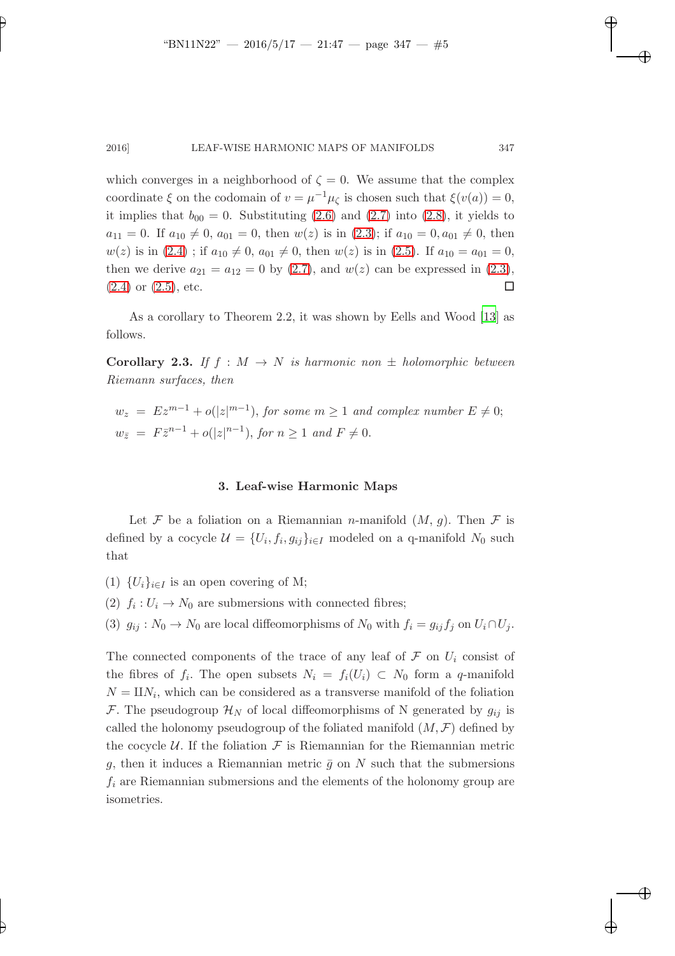which converges in a neighborhood of  $\zeta = 0$ . We assume that the complex coordinate  $\xi$  on the codomain of  $v = \mu^{-1}\mu_{\zeta}$  is chosen such that  $\xi(v(a)) = 0$ , it implies that  $b_{00} = 0$ . Substituting [\(2.6\)](#page-3-0) and [\(2.7\)](#page-3-1) into [\(2.8\)](#page-3-2), it yields to  $a_{11} = 0$ . If  $a_{10} \neq 0$ ,  $a_{01} = 0$ , then  $w(z)$  is in  $(2.3)$ ; if  $a_{10} = 0$ ,  $a_{01} \neq 0$ , then  $w(z)$  is in  $(2.4)$ ; if  $a_{10} \neq 0$ ,  $a_{01} \neq 0$ , then  $w(z)$  is in  $(2.5)$ . If  $a_{10} = a_{01} = 0$ , then we derive  $a_{21} = a_{12} = 0$  by [\(2.7\)](#page-3-1), and  $w(z)$  can be expressed in [\(2.3\)](#page-3-3),  $(2.4)$  or  $(2.5)$ , etc.

As a corollary to Theorem 2.2, it was shown by Eells and Wood [\[13\]](#page-14-9) as follows.

**Corollary 2.3.** If  $f : M \to N$  is harmonic non  $\pm$  holomorphic between Riemann surfaces, then

$$
w_z = Ez^{m-1} + o(|z|^{m-1}), \text{ for some } m \ge 1 \text{ and complex number } E \ne 0;
$$
  

$$
w_{\overline{z}} = F\overline{z}^{n-1} + o(|z|^{n-1}), \text{ for } n \ge 1 \text{ and } F \ne 0.
$$

## 3. Leaf-wise Harmonic Maps

Let F be a foliation on a Riemannian *n*-manifold  $(M, g)$ . Then F is defined by a cocycle  $\mathcal{U} = \{U_i, f_i, g_{ij}\}_{i \in I}$  modeled on a q-manifold  $N_0$  such that

- (1)  $\{U_i\}_{i\in I}$  is an open covering of M;
- (2)  $f_i: U_i \to N_0$  are submersions with connected fibres;
- (3)  $g_{ij}: N_0 \to N_0$  are local diffeomorphisms of  $N_0$  with  $f_i = g_{ij} f_j$  on  $U_i \cap U_j$ .

The connected components of the trace of any leaf of  $\mathcal F$  on  $U_i$  consist of the fibres of  $f_i$ . The open subsets  $N_i = f_i(U_i) \subset N_0$  form a q-manifold  $N = \mathbb{I} N_i$ , which can be considered as a transverse manifold of the foliation F. The pseudogroup  $\mathcal{H}_N$  of local diffeomorphisms of N generated by  $g_{ij}$  is called the holonomy pseudogroup of the foliated manifold  $(M, \mathcal{F})$  defined by the cocycle  $U$ . If the foliation  $\mathcal F$  is Riemannian for the Riemannian metric g, then it induces a Riemannian metric  $\bar{g}$  on N such that the submersions  $f_i$  are Riemannian submersions and the elements of the holonomy group are isometries.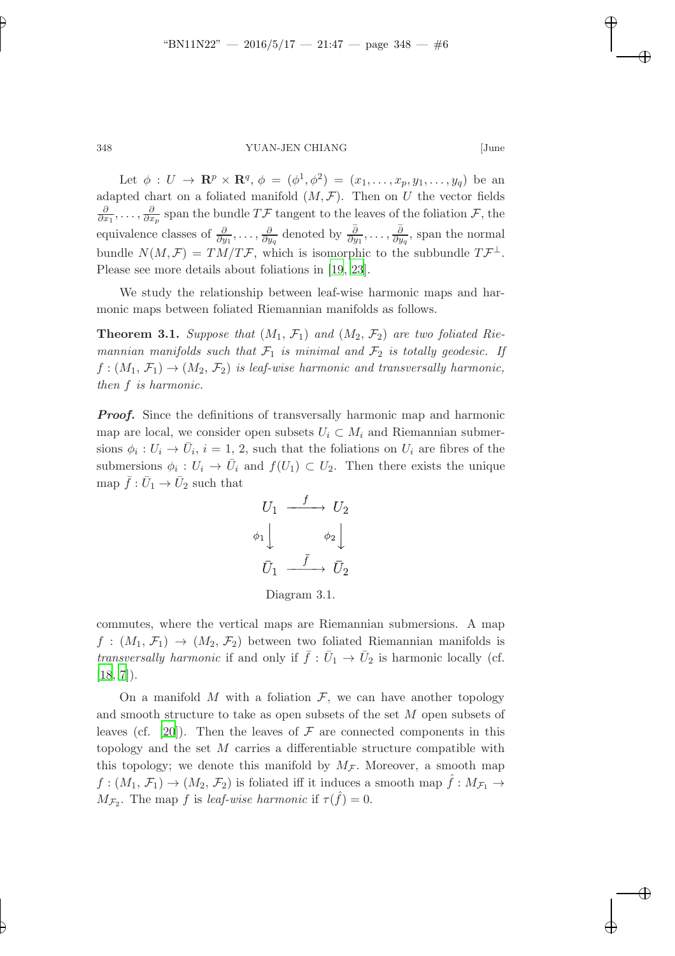Let  $\phi: U \to \mathbf{R}^p \times \mathbf{R}^q$ ,  $\phi = (\phi^1, \phi^2) = (x_1, \dots, x_p, y_1, \dots, y_q)$  be an adapted chart on a foliated manifold  $(M, \mathcal{F})$ . Then on U the vector fields ∂  $\frac{\partial}{\partial x_1},\ldots,\frac{\partial}{\partial x_n}$  $\frac{\partial}{\partial x_p}$  span the bundle TF tangent to the leaves of the foliation F, the equivalence classes of  $\frac{\partial}{\partial y_1}, \ldots, \frac{\partial}{\partial y_n}$  $\frac{\partial}{\partial y_q}$  denoted by  $\frac{\overline{\partial}}{\partial y_1}, \ldots, \frac{\overline{\partial}}{\partial y_q}$  $\frac{\partial}{\partial y_q}$ , span the normal bundle  $N(M,\mathcal{F}) = TM/T\mathcal{F}$ , which is isomorphic to the subbundle  $T\mathcal{F}^{\perp}$ . Please see more details about foliations in [\[19,](#page-14-11) [23](#page-14-12)].

We study the relationship between leaf-wise harmonic maps and harmonic maps between foliated Riemannian manifolds as follows.

**Theorem 3.1.** Suppose that  $(M_1, \mathcal{F}_1)$  and  $(M_2, \mathcal{F}_2)$  are two foliated Riemannian manifolds such that  $\mathcal{F}_1$  is minimal and  $\mathcal{F}_2$  is totally geodesic. If  $f:(M_1,\mathcal{F}_1)\rightarrow (M_2,\mathcal{F}_2)$  is leaf-wise harmonic and transversally harmonic, then f is harmonic.

**Proof.** Since the definitions of transversally harmonic map and harmonic map are local, we consider open subsets  $U_i \subset M_i$  and Riemannian submersions  $\phi_i: U_i \to \overline{U}_i$ ,  $i = 1, 2$ , such that the foliations on  $U_i$  are fibres of the submersions  $\phi_i: U_i \to \overline{U}_i$  and  $f(U_1) \subset U_2$ . Then there exists the unique map  $\bar{f}: \bar{U}_1 \to \bar{U}_2$  such that

$$
U_1 \xrightarrow{f} U_2
$$
  
\n
$$
\phi_1 \downarrow \qquad \phi_2 \downarrow
$$
  
\n
$$
\bar{U}_1 \xrightarrow{\bar{f}} \bar{U}_2
$$

Diagram 3.1.

commutes, where the vertical maps are Riemannian submersions. A map  $f:(M_1,\mathcal{F}_1)\rightarrow (M_2,\mathcal{F}_2)$  between two foliated Riemannian manifolds is transversally harmonic if and only if  $\bar{f}: \bar{U}_1 \to \bar{U}_2$  is harmonic locally (cf.  $[18, 7]$  $[18, 7]$ .

On a manifold  $M$  with a foliation  $\mathcal{F}$ , we can have another topology and smooth structure to take as open subsets of the set M open subsets of leaves (cf. [\[20](#page-14-13)]). Then the leaves of  $\mathcal F$  are connected components in this topology and the set M carries a differentiable structure compatible with this topology; we denote this manifold by  $M_{\mathcal{F}}$ . Moreover, a smooth map  $f:(M_1,\mathcal{F}_1)\rightarrow (M_2,\mathcal{F}_2)$  is foliated iff it induces a smooth map  $f:M_{\mathcal{F}_1}\rightarrow$  $M_{\mathcal{F}_2}$ . The map f is leaf-wise harmonic if  $\tau(\hat{f}) = 0$ .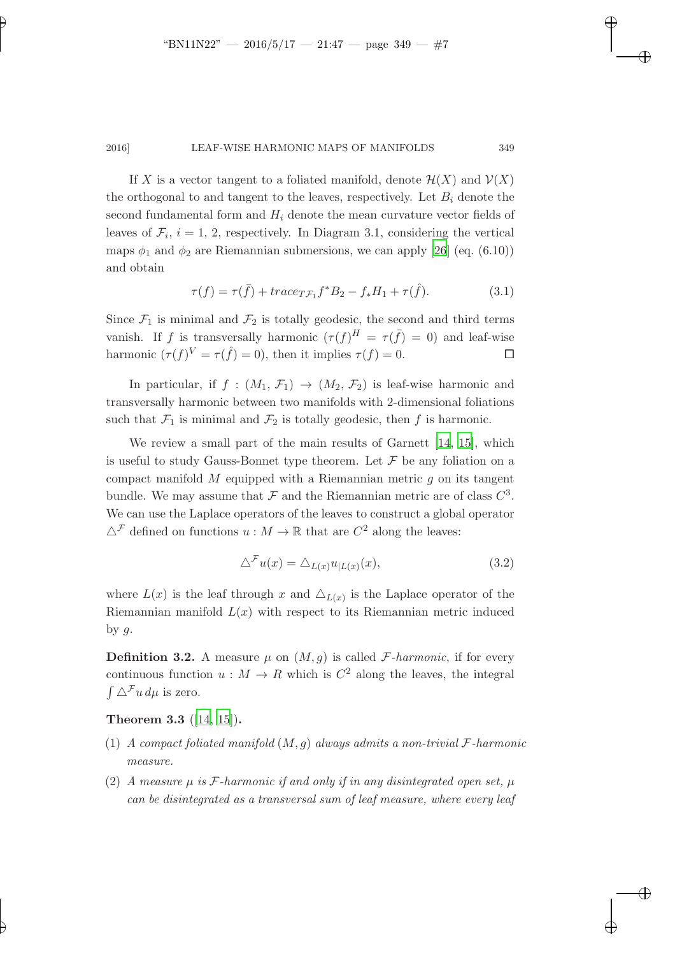If X is a vector tangent to a foliated manifold, denote  $\mathcal{H}(X)$  and  $\mathcal{V}(X)$ the orthogonal to and tangent to the leaves, respectively. Let  $B_i$  denote the second fundamental form and  $H_i$  denote the mean curvature vector fields of leaves of  $\mathcal{F}_i$ ,  $i = 1, 2$ , respectively. In Diagram 3.1, considering the vertical maps  $\phi_1$  and  $\phi_2$  are Riemannian submersions, we can apply [\[26](#page-14-14)] (eq. (6.10)) and obtain

$$
\tau(f) = \tau(\bar{f}) + trace_{T\mathcal{F}_1} f^*B_2 - f_*H_1 + \tau(\hat{f}).
$$
\n(3.1)

Since  $\mathcal{F}_1$  is minimal and  $\mathcal{F}_2$  is totally geodesic, the second and third terms vanish. If f is transversally harmonic  $(\tau(f))^H = \tau(\bar{f}) = 0$  and leaf-wise harmonic  $(\tau(f)^V = \tau(\hat{f}) = 0)$ , then it implies  $\tau(f) = 0$ .

In particular, if  $f : (M_1, \mathcal{F}_1) \rightarrow (M_2, \mathcal{F}_2)$  is leaf-wise harmonic and transversally harmonic between two manifolds with 2-dimensional foliations such that  $\mathcal{F}_1$  is minimal and  $\mathcal{F}_2$  is totally geodesic, then f is harmonic.

We review a small part of the main results of Garnett [\[14,](#page-14-15) [15\]](#page-14-16), which is useful to study Gauss-Bonnet type theorem. Let  $\mathcal F$  be any foliation on a compact manifold  $M$  equipped with a Riemannian metric  $q$  on its tangent bundle. We may assume that  $\mathcal F$  and the Riemannian metric are of class  $C^3$ . We can use the Laplace operators of the leaves to construct a global operator  $\triangle^{\mathcal{F}}$  defined on functions  $u : M \to \mathbb{R}$  that are  $C^2$  along the leaves:

$$
\Delta^{\mathcal{F}} u(x) = \Delta_{L(x)} u_{|L(x)}(x), \tag{3.2}
$$

where  $L(x)$  is the leaf through x and  $\Delta_{L(x)}$  is the Laplace operator of the Riemannian manifold  $L(x)$  with respect to its Riemannian metric induced by  $g$ .

**Definition 3.2.** A measure  $\mu$  on  $(M, g)$  is called F-harmonic, if for every continuous function  $u : M \to R$  which is  $C^2$  along the leaves, the integral  $\int \Delta^{\mathcal{F}} u \, d\mu$  is zero.

# Theorem 3.3 ([\[14,](#page-14-15) [15](#page-14-16)]).

- (1) A compact foliated manifold  $(M, g)$  always admits a non-trivial  $\mathcal F$ -harmonic measure.
- (2) A measure  $\mu$  is F-harmonic if and only if in any disintegrated open set,  $\mu$ can be disintegrated as a transversal sum of leaf measure, where every leaf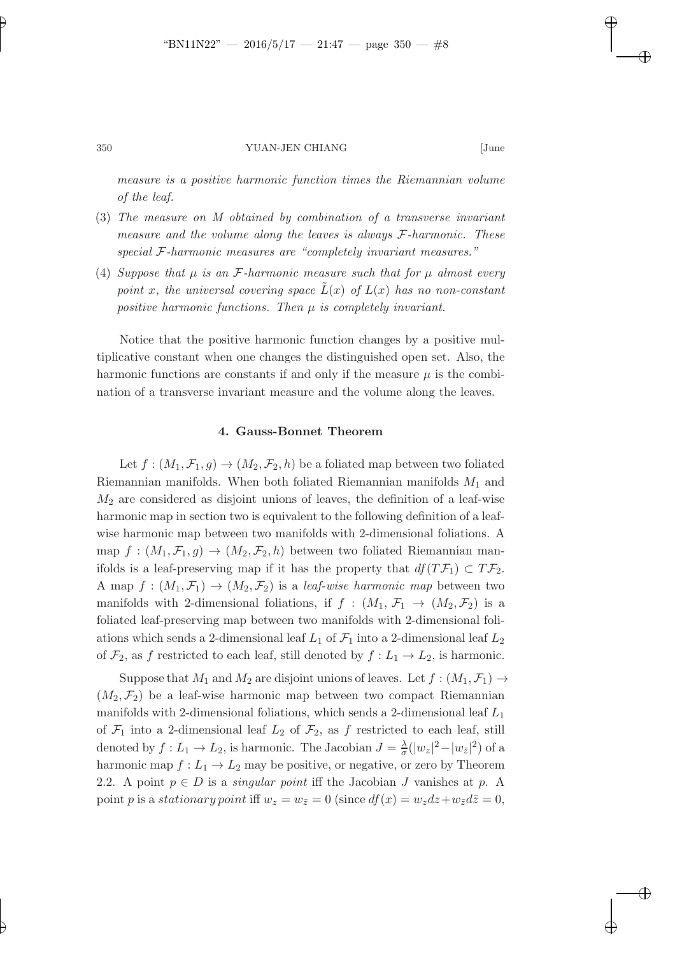measure is a positive harmonic function times the Riemannian volume of the leaf.

- (3) The measure on M obtained by combination of a transverse invariant measure and the volume along the leaves is always F-harmonic. These special F-harmonic measures are "completely invariant measures."
- (4) Suppose that  $\mu$  is an F-harmonic measure such that for  $\mu$  almost every point x, the universal covering space  $L(x)$  of  $L(x)$  has no non-constant positive harmonic functions. Then  $\mu$  is completely invariant.

Notice that the positive harmonic function changes by a positive multiplicative constant when one changes the distinguished open set. Also, the harmonic functions are constants if and only if the measure  $\mu$  is the combination of a transverse invariant measure and the volume along the leaves.

#### 4. Gauss-Bonnet Theorem

Let  $f:(M_1,\mathcal{F}_1,g)\to (M_2,\mathcal{F}_2,h)$  be a foliated map between two foliated Riemannian manifolds. When both foliated Riemannian manifolds  $M_1$  and  $M_2$  are considered as disjoint unions of leaves, the definition of a leaf-wise harmonic map in section two is equivalent to the following definition of a leafwise harmonic map between two manifolds with 2-dimensional foliations. A map  $f : (M_1, \mathcal{F}_1, g) \to (M_2, \mathcal{F}_2, h)$  between two foliated Riemannian manifolds is a leaf-preserving map if it has the property that  $df(T\mathcal{F}_1) \subset T\mathcal{F}_2$ . A map  $f : (M_1, \mathcal{F}_1) \to (M_2, \mathcal{F}_2)$  is a *leaf-wise harmonic map* between two manifolds with 2-dimensional foliations, if  $f : (M_1, \mathcal{F}_1 \rightarrow (M_2, \mathcal{F}_2)$  is a foliated leaf-preserving map between two manifolds with 2-dimensional foliations which sends a 2-dimensional leaf  $L_1$  of  $\mathcal{F}_1$  into a 2-dimensional leaf  $L_2$ of  $\mathcal{F}_2$ , as f restricted to each leaf, still denoted by  $f: L_1 \to L_2$ , is harmonic.

Suppose that  $M_1$  and  $M_2$  are disjoint unions of leaves. Let  $f : (M_1, \mathcal{F}_1) \rightarrow$  $(M_2, \mathcal{F}_2)$  be a leaf-wise harmonic map between two compact Riemannian manifolds with 2-dimensional foliations, which sends a 2-dimensional leaf  $L_1$ of  $\mathcal{F}_1$  into a 2-dimensional leaf  $L_2$  of  $\mathcal{F}_2$ , as f restricted to each leaf, still denoted by  $f: L_1 \to L_2$ , is harmonic. The Jacobian  $J = \frac{\lambda}{\sigma}$  $\frac{\lambda}{\sigma}(|w_z|^2 - |w_{\bar{z}}|^2)$  of a harmonic map  $f: L_1 \to L_2$  may be positive, or negative, or zero by Theorem 2.2. A point  $p \in D$  is a *singular point* iff the Jacobian J vanishes at p. A point p is a stationary point iff  $w_z = w_{\bar{z}} = 0$  (since  $df(x) = w_z dz + w_{\bar{z}} d\bar{z} = 0$ ,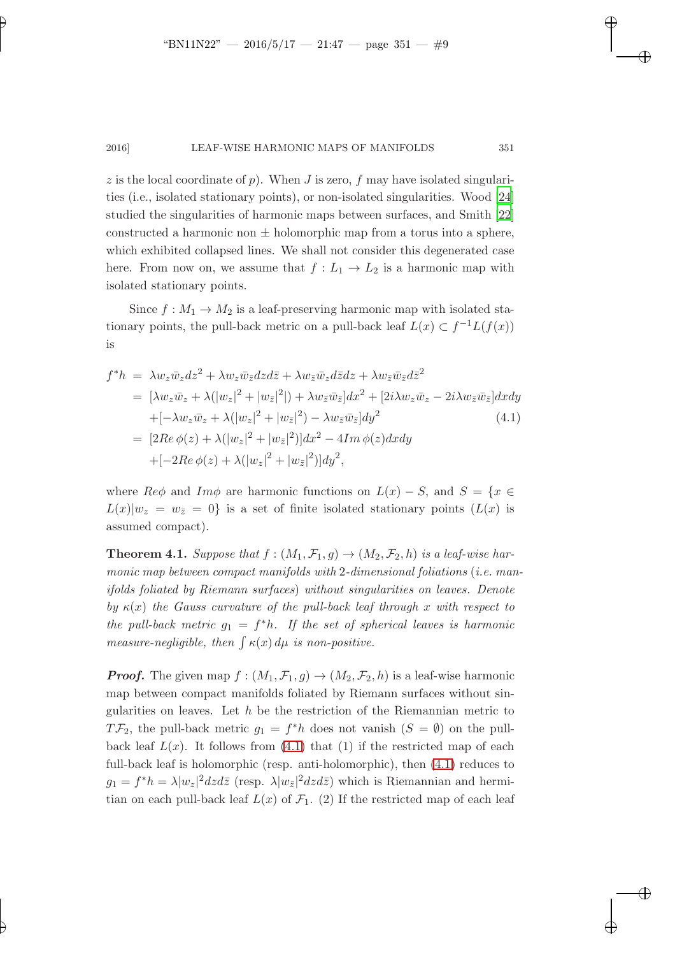z is the local coordinate of p). When J is zero,  $f$  may have isolated singularities (i.e., isolated stationary points), or non-isolated singularities. Wood [\[24](#page-14-17)] studied the singularities of harmonic maps between surfaces, and Smith [\[22](#page-14-18)] constructed a harmonic non  $\pm$  holomorphic map from a torus into a sphere, which exhibited collapsed lines. We shall not consider this degenerated case here. From now on, we assume that  $f: L_1 \to L_2$  is a harmonic map with isolated stationary points.

Since  $f : M_1 \to M_2$  is a leaf-preserving harmonic map with isolated stationary points, the pull-back metric on a pull-back leaf  $L(x) \subset f^{-1}L(f(x))$ is

<span id="page-8-0"></span>
$$
f^*h = \lambda w_z \bar{w}_z dz^2 + \lambda w_z \bar{w}_{\bar{z}} dz d\bar{z} + \lambda w_{\bar{z}} \bar{w}_z d\bar{z} dz + \lambda w_{\bar{z}} \bar{w}_{\bar{z}} d\bar{z}^2
$$
  
\n
$$
= [\lambda w_z \bar{w}_z + \lambda (|w_z|^2 + |w_{\bar{z}}|^2]) + \lambda w_{\bar{z}} \bar{w}_{\bar{z}}] dx^2 + [2i\lambda w_z \bar{w}_z - 2i\lambda w_{\bar{z}} \bar{w}_{\bar{z}}] dx dy
$$
  
\n
$$
+ [-\lambda w_z \bar{w}_z + \lambda (|w_z|^2 + |w_{\bar{z}}|^2) - \lambda w_{\bar{z}} \bar{w}_{\bar{z}}] dy^2
$$
(4.1)  
\n
$$
= [2Re \phi(z) + \lambda (|w_z|^2 + |w_{\bar{z}}|^2)] dx^2 - 4Im \phi(z) dx dy
$$
  
\n
$$
+ [-2Re \phi(z) + \lambda (|w_z|^2 + |w_{\bar{z}}|^2)] dy^2,
$$

where  $Re\phi$  and  $Im\phi$  are harmonic functions on  $L(x) - S$ , and  $S = \{x \in$  $L(x)|w_z = w_{\bar{z}} = 0$  is a set of finite isolated stationary points  $(L(x))$  is assumed compact).

**Theorem 4.1.** Suppose that  $f : (M_1, \mathcal{F}_1, g) \to (M_2, \mathcal{F}_2, h)$  is a leaf-wise harmonic map between compact manifolds with 2-dimensional foliations (i.e. manifolds foliated by Riemann surfaces) without singularities on leaves. Denote by  $\kappa(x)$  the Gauss curvature of the pull-back leaf through x with respect to the pull-back metric  $g_1 = f^*h$ . If the set of spherical leaves is harmonic measure-negligible, then  $\int \kappa(x) d\mu$  is non-positive.

**Proof.** The given map  $f : (M_1, \mathcal{F}_1, g) \to (M_2, \mathcal{F}_2, h)$  is a leaf-wise harmonic map between compact manifolds foliated by Riemann surfaces without singularities on leaves. Let  $h$  be the restriction of the Riemannian metric to  $T\mathcal{F}_2$ , the pull-back metric  $g_1 = f^*h$  does not vanish  $(S = \emptyset)$  on the pullback leaf  $L(x)$ . It follows from  $(4.1)$  that  $(1)$  if the restricted map of each full-back leaf is holomorphic (resp. anti-holomorphic), then [\(4.1\)](#page-8-0) reduces to  $g_1 = f^* h = \lambda |w_z|^2 dz d\bar{z}$  (resp.  $\lambda |w_{\bar{z}}|^2 dz d\bar{z}$ ) which is Riemannian and hermitian on each pull-back leaf  $L(x)$  of  $\mathcal{F}_1$ . (2) If the restricted map of each leaf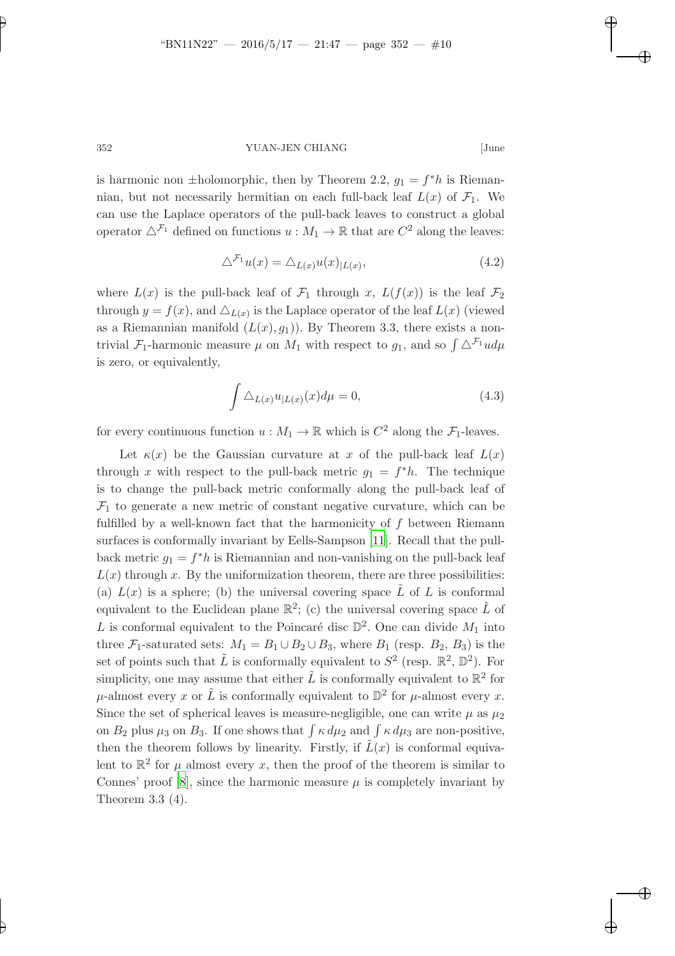is harmonic non  $\pm$ holomorphic, then by Theorem 2.2,  $g_1 = f^*h$  is Riemannian, but not necessarily hermitian on each full-back leaf  $L(x)$  of  $\mathcal{F}_1$ . We can use the Laplace operators of the pull-back leaves to construct a global operator  $\Delta^{\mathcal{F}_1}$  defined on functions  $u : M_1 \to \mathbb{R}$  that are  $C^2$  along the leaves:

$$
\Delta^{\mathcal{F}_1} u(x) = \Delta_{L(x)} u(x)_{|L(x)},\tag{4.2}
$$

where  $L(x)$  is the pull-back leaf of  $\mathcal{F}_1$  through x,  $L(f(x))$  is the leaf  $\mathcal{F}_2$ through  $y = f(x)$ , and  $\triangle_{L(x)}$  is the Laplace operator of the leaf  $L(x)$  (viewed as a Riemannian manifold  $(L(x), g_1)$ ). By Theorem 3.3, there exists a nontrivial  $\mathcal{F}_1$ -harmonic measure  $\mu$  on  $M_1$  with respect to  $g_1$ , and so  $\int \Delta^{\mathcal{F}_1} u d\mu$ is zero, or equivalently,

$$
\int \Delta_{L(x)} u_{|L(x)}(x) d\mu = 0,
$$
\n(4.3)

for every continuous function  $u : M_1 \to \mathbb{R}$  which is  $C^2$  along the  $\mathcal{F}_1$ -leaves.

Let  $\kappa(x)$  be the Gaussian curvature at x of the pull-back leaf  $L(x)$ through x with respect to the pull-back metric  $g_1 = f^*h$ . The technique is to change the pull-back metric conformally along the pull-back leaf of  $\mathcal{F}_1$  to generate a new metric of constant negative curvature, which can be fulfilled by a well-known fact that the harmonicity of f between Riemann surfaces is conformally invariant by Eells-Sampson [\[11](#page-14-0)]. Recall that the pullback metric  $g_1 = f^*h$  is Riemannian and non-vanishing on the pull-back leaf  $L(x)$  through x. By the uniformization theorem, there are three possibilities: (a)  $L(x)$  is a sphere; (b) the universal covering space  $\tilde{L}$  of L is conformal equivalent to the Euclidean plane  $\mathbb{R}^2$ ; (c) the universal covering space  $\tilde{L}$  of L is conformal equivalent to the Poincaré disc  $\mathbb{D}^2$ . One can divide  $M_1$  into three  $\mathcal{F}_1$ -saturated sets:  $M_1 = B_1 \cup B_2 \cup B_3$ , where  $B_1$  (resp.  $B_2$ ,  $B_3$ ) is the set of points such that  $\tilde{L}$  is conformally equivalent to  $S^2$  (resp.  $\mathbb{R}^2$ ,  $\mathbb{D}^2$ ). For simplicity, one may assume that either  $\tilde{L}$  is conformally equivalent to  $\mathbb{R}^2$  for  $\mu$ -almost every x or  $\tilde{L}$  is conformally equivalent to  $\mathbb{D}^2$  for  $\mu$ -almost every x. Since the set of spherical leaves is measure-negligible, one can write  $\mu$  as  $\mu_2$ on  $B_2$  plus  $\mu_3$  on  $B_3$ . If one shows that  $\int \kappa d\mu_2$  and  $\int \kappa d\mu_3$  are non-positive, then the theorem follows by linearity. Firstly, if  $\tilde{L}(x)$  is conformal equivalent to  $\mathbb{R}^2$  for  $\mu$  almost every x, then the proof of the theorem is similar to Connes' proof [\[8](#page-14-7)], since the harmonic measure  $\mu$  is completely invariant by Theorem 3.3 (4).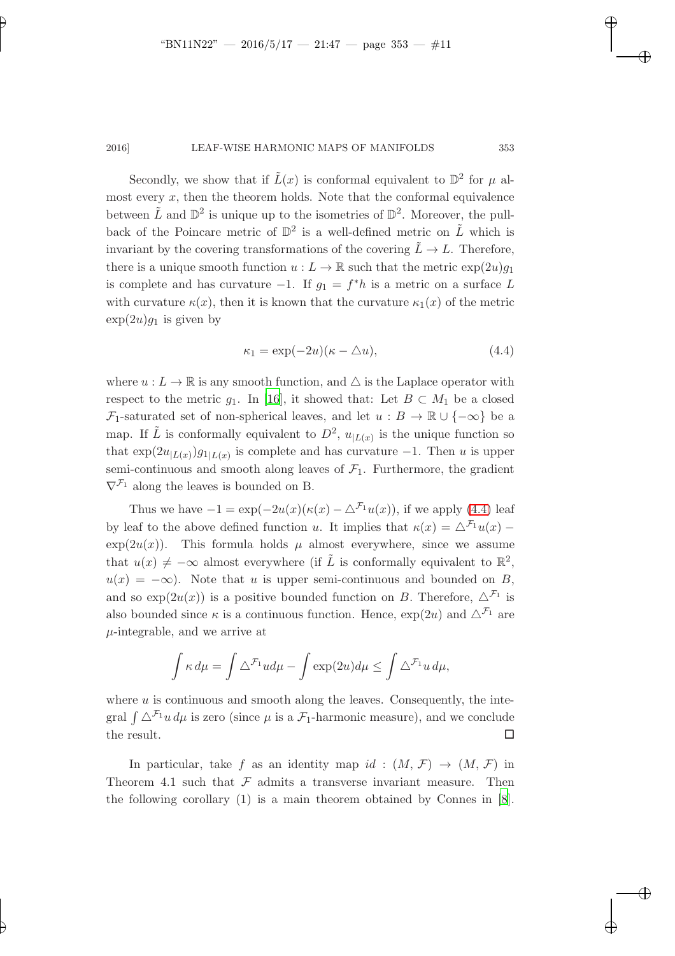Secondly, we show that if  $\tilde{L}(x)$  is conformal equivalent to  $\mathbb{D}^2$  for  $\mu$  almost every  $x$ , then the theorem holds. Note that the conformal equivalence between  $\tilde{L}$  and  $\mathbb{D}^2$  is unique up to the isometries of  $\mathbb{D}^2$ . Moreover, the pullback of the Poincare metric of  $\mathbb{D}^2$  is a well-defined metric on  $\tilde{L}$  which is invariant by the covering transformations of the covering  $\tilde{L} \to L$ . Therefore, there is a unique smooth function  $u : L \to \mathbb{R}$  such that the metric  $\exp(2u)g_1$ is complete and has curvature  $-1$ . If  $g_1 = f^*h$  is a metric on a surface L with curvature  $\kappa(x)$ , then it is known that the curvature  $\kappa_1(x)$  of the metric  $\exp(2u)g_1$  is given by

<span id="page-10-0"></span>
$$
\kappa_1 = \exp(-2u)(\kappa - \Delta u),\tag{4.4}
$$

where  $u: L \to \mathbb{R}$  is any smooth function, and  $\triangle$  is the Laplace operator with respect to the metric  $q_1$ . In [\[16](#page-14-8)], it showed that: Let  $B \subset M_1$  be a closed  $\mathcal{F}_1$ -saturated set of non-spherical leaves, and let  $u : B \to \mathbb{R} \cup \{-\infty\}$  be a map. If  $\tilde{L}$  is conformally equivalent to  $D^2$ ,  $u_{|L(x)}$  is the unique function so that  $\exp(2u_{L(x)})g_{1|L(x)}$  is complete and has curvature  $-1$ . Then u is upper semi-continuous and smooth along leaves of  $\mathcal{F}_1$ . Furthermore, the gradient  $\nabla^{\mathcal{F}_1}$  along the leaves is bounded on B.

Thus we have  $-1 = \exp(-2u(x)(\kappa(x) - \Delta^{\mathcal{F}_1}u(x))$ , if we apply [\(4.4\)](#page-10-0) leaf by leaf to the above defined function u. It implies that  $\kappa(x) = \Delta^{\mathcal{F}_1} u(x)$  –  $\exp(2u(x))$ . This formula holds  $\mu$  almost everywhere, since we assume that  $u(x) \neq -\infty$  almost everywhere (if  $\tilde{L}$  is conformally equivalent to  $\mathbb{R}^2$ ,  $u(x) = -\infty$ ). Note that u is upper semi-continuous and bounded on B, and so  $\exp(2u(x))$  is a positive bounded function on B. Therefore,  $\Delta^{\mathcal{F}_1}$  is also bounded since  $\kappa$  is a continuous function. Hence,  $\exp(2u)$  and  $\Delta^{\mathcal{F}_1}$  are  $\mu$ -integrable, and we arrive at

$$
\int \kappa \, d\mu = \int \Delta^{\mathcal{F}_1} u d\mu - \int \exp(2u) d\mu \le \int \Delta^{\mathcal{F}_1} u \, d\mu,
$$

where  $u$  is continuous and smooth along the leaves. Consequently, the integral  $\int \Delta^{\mathcal{F}_1} u \, d\mu$  is zero (since  $\mu$  is a  $\mathcal{F}_1$ -harmonic measure), and we conclude the result.  $\Box$ 

In particular, take f as an identity map id :  $(M, \mathcal{F}) \rightarrow (M, \mathcal{F})$  in Theorem 4.1 such that  $\mathcal F$  admits a transverse invariant measure. Then the following corollary (1) is a main theorem obtained by Connes in [\[8](#page-14-7)].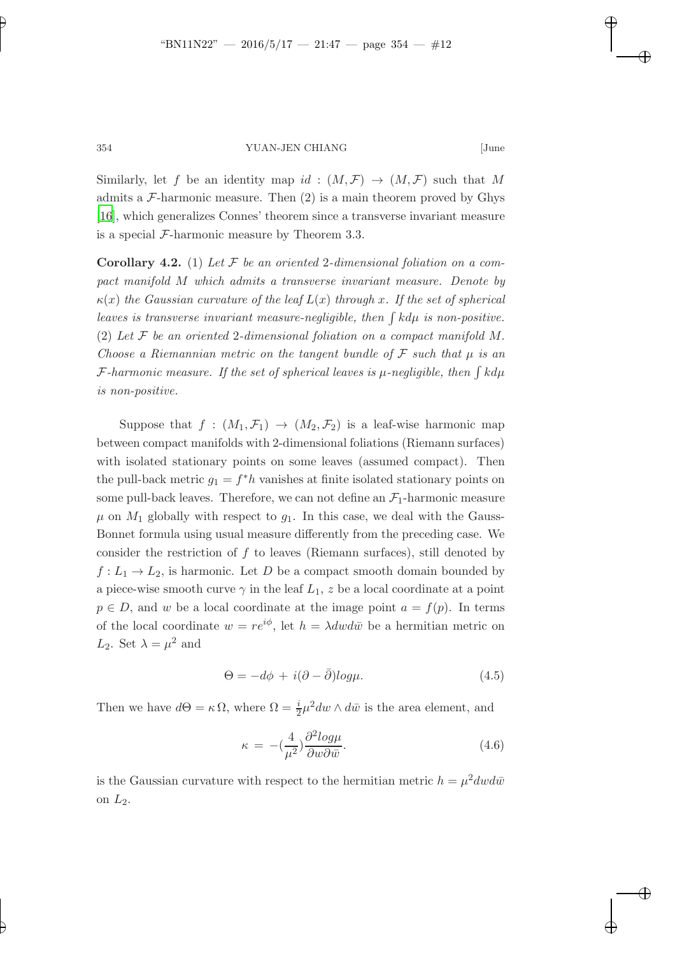Similarly, let f be an identity map  $id : (M, \mathcal{F}) \to (M, \mathcal{F})$  such that M admits a  $\mathcal{F}\text{-}h$ armonic measure. Then (2) is a main theorem proved by Ghys [\[16\]](#page-14-8), which generalizes Connes' theorem since a transverse invariant measure is a special  $\mathcal{F}\text{-harmonic measure by Theorem 3.3.}$ 

**Corollary 4.2.** (1) Let  $\mathcal F$  be an oriented 2-dimensional foliation on a compact manifold M which admits a transverse invariant measure. Denote by  $\kappa(x)$  the Gaussian curvature of the leaf  $L(x)$  through x. If the set of spherical leaves is transverse invariant measure-negligible, then  $\int k d\mu$  is non-positive. (2) Let  $\mathcal F$  be an oriented 2-dimensional foliation on a compact manifold  $M$ . Choose a Riemannian metric on the tangent bundle of  $\mathcal F$  such that  $\mu$  is an F-harmonic measure. If the set of spherical leaves is  $\mu$ -negligible, then  $\int k d\mu$ is non-positive.

Suppose that  $f : (M_1, \mathcal{F}_1) \to (M_2, \mathcal{F}_2)$  is a leaf-wise harmonic map between compact manifolds with 2-dimensional foliations (Riemann surfaces) with isolated stationary points on some leaves (assumed compact). Then the pull-back metric  $g_1 = f^*h$  vanishes at finite isolated stationary points on some pull-back leaves. Therefore, we can not define an  $\mathcal{F}_1$ -harmonic measure  $\mu$  on  $M_1$  globally with respect to  $g_1$ . In this case, we deal with the Gauss-Bonnet formula using usual measure differently from the preceding case. We consider the restriction of  $f$  to leaves (Riemann surfaces), still denoted by  $f: L_1 \to L_2$ , is harmonic. Let D be a compact smooth domain bounded by a piece-wise smooth curve  $\gamma$  in the leaf  $L_1$ , z be a local coordinate at a point  $p \in D$ , and w be a local coordinate at the image point  $a = f(p)$ . In terms of the local coordinate  $w = re^{i\phi}$ , let  $h = \lambda dw d\overline{w}$  be a hermitian metric on  $L_2$ . Set  $\lambda = \mu^2$  and

$$
\Theta = -d\phi + i(\partial - \bar{\partial})log\mu.
$$
\n(4.5)

Then we have  $d\Theta = \kappa \Omega$ , where  $\Omega = \frac{i}{2}\mu^2 dw \wedge d\bar{w}$  is the area element, and

$$
\kappa = -\left(\frac{4}{\mu^2}\right) \frac{\partial^2 log\mu}{\partial w \partial \bar{w}}.\tag{4.6}
$$

is the Gaussian curvature with respect to the hermitian metric  $h = \mu^2 dw d\bar{w}$ on  $L_2$ .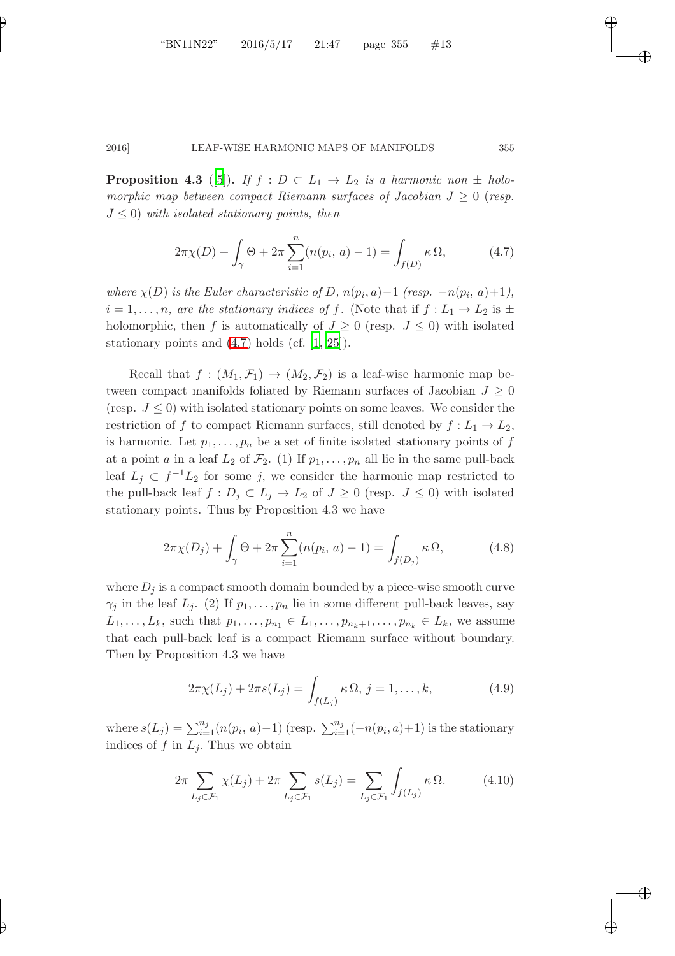**Proposition 4.3** ([\[5](#page-13-2)]). If  $f : D \subset L_1 \rightarrow L_2$  is a harmonic non  $\pm$  holomorphic map between compact Riemann surfaces of Jacobian  $J \geq 0$  (resp.  $J \leq 0$ ) with isolated stationary points, then

<span id="page-12-0"></span>
$$
2\pi \chi(D) + \int_{\gamma} \Theta + 2\pi \sum_{i=1}^{n} (n(p_i, a) - 1) = \int_{f(D)} \kappa \, \Omega, \tag{4.7}
$$

where  $\chi(D)$  is the Euler characteristic of D,  $n(p_i, a) - 1$  (resp.  $-n(p_i, a) + 1$ ),  $i = 1, \ldots, n$ , are the stationary indices of f. (Note that if  $f: L_1 \to L_2$  is  $\pm$ holomorphic, then f is automatically of  $J \geq 0$  (resp.  $J \leq 0$ ) with isolated stationary points and  $(4.7)$  holds  $(cf. [1, 25])$  $(cf. [1, 25])$  $(cf. [1, 25])$  $(cf. [1, 25])$  $(cf. [1, 25])$ .

Recall that  $f : (M_1, \mathcal{F}_1) \to (M_2, \mathcal{F}_2)$  is a leaf-wise harmonic map between compact manifolds foliated by Riemann surfaces of Jacobian  $J \geq 0$ (resp.  $J \leq 0$ ) with isolated stationary points on some leaves. We consider the restriction of f to compact Riemann surfaces, still denoted by  $f: L_1 \to L_2$ , is harmonic. Let  $p_1, \ldots, p_n$  be a set of finite isolated stationary points of f at a point a in a leaf  $L_2$  of  $\mathcal{F}_2$ . (1) If  $p_1, \ldots, p_n$  all lie in the same pull-back leaf  $L_j \subset f^{-1}L_2$  for some j, we consider the harmonic map restricted to the pull-back leaf  $f: D_j \subset L_j \to L_2$  of  $J \geq 0$  (resp.  $J \leq 0$ ) with isolated stationary points. Thus by Proposition 4.3 we have

<span id="page-12-1"></span>
$$
2\pi \chi(D_j) + \int_{\gamma} \Theta + 2\pi \sum_{i=1}^{n} (n(p_i, a) - 1) = \int_{f(D_j)} \kappa \, \Omega, \tag{4.8}
$$

where  $D_i$  is a compact smooth domain bounded by a piece-wise smooth curve  $\gamma_i$  in the leaf  $L_i$ . (2) If  $p_1, \ldots, p_n$  lie in some different pull-back leaves, say  $L_1, \ldots, L_k$ , such that  $p_1, \ldots, p_{n_1} \in L_1, \ldots, p_{n_k+1}, \ldots, p_{n_k} \in L_k$ , we assume that each pull-back leaf is a compact Riemann surface without boundary. Then by Proposition 4.3 we have

$$
2\pi \chi(L_j) + 2\pi s(L_j) = \int_{f(L_j)} \kappa \, \Omega, \, j = 1, \dots, k,
$$
 (4.9)

where  $s(L_j) = \sum_{i=1}^{n_j} (n(p_i, a) - 1)$  (resp.  $\sum_{i=1}^{n_j} (-n(p_i, a) + 1)$  is the stationary indices of f in  $L_i$ . Thus we obtain

<span id="page-12-2"></span>
$$
2\pi \sum_{L_j \in \mathcal{F}_1} \chi(L_j) + 2\pi \sum_{L_j \in \mathcal{F}_1} s(L_j) = \sum_{L_j \in \mathcal{F}_1} \int_{f(L_j)} \kappa \Omega. \tag{4.10}
$$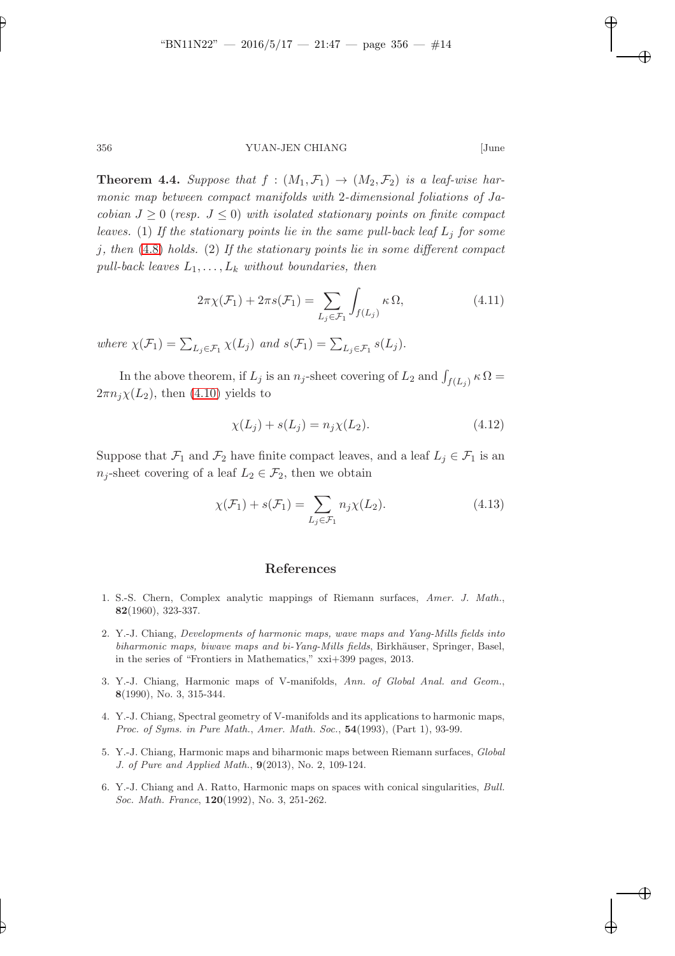**Theorem 4.4.** Suppose that  $f : (M_1, \mathcal{F}_1) \rightarrow (M_2, \mathcal{F}_2)$  is a leaf-wise harmonic map between compact manifolds with 2-dimensional foliations of Jacobian  $J \geq 0$  (resp.  $J \leq 0$ ) with isolated stationary points on finite compact leaves. (1) If the stationary points lie in the same pull-back leaf  $L_j$  for some  $j, then (4.8) holds.$  $j, then (4.8) holds.$  $j, then (4.8) holds.$  (2) If the stationary points lie in some different compact pull-back leaves  $L_1, \ldots, L_k$  without boundaries, then

$$
2\pi\chi(\mathcal{F}_1) + 2\pi s(\mathcal{F}_1) = \sum_{L_j \in \mathcal{F}_1} \int_{f(L_j)} \kappa \Omega,
$$
\n(4.11)

where  $\chi(\mathcal{F}_1) = \sum_{L_j \in \mathcal{F}_1} \chi(L_j)$  and  $s(\mathcal{F}_1) = \sum_{L_j \in \mathcal{F}_1} s(L_j)$ .

In the above theorem, if  $L_j$  is an  $n_j$ -sheet covering of  $L_2$  and  $\int_{f(L_j)} \kappa \Omega =$  $2\pi n_j\chi(L_2)$ , then [\(4.10\)](#page-12-2) yields to

$$
\chi(L_j) + s(L_j) = n_j \chi(L_2). \tag{4.12}
$$

Suppose that  $\mathcal{F}_1$  and  $\mathcal{F}_2$  have finite compact leaves, and a leaf  $L_j \in \mathcal{F}_1$  is an  $n_j$ -sheet covering of a leaf  $L_2 \in \mathcal{F}_2$ , then we obtain

$$
\chi(\mathcal{F}_1) + s(\mathcal{F}_1) = \sum_{L_j \in \mathcal{F}_1} n_j \chi(L_2).
$$
 (4.13)

## References

- <span id="page-13-3"></span>1. S.-S. Chern, Complex analytic mappings of Riemann surfaces, Amer. J. Math., 82(1960), 323-337.
- <span id="page-13-0"></span>2. Y.-J. Chiang, Developments of harmonic maps, wave maps and Yang-Mills fields into biharmonic maps, biwave maps and bi-Yang-Mills fields, Birkhäuser, Springer, Basel, in the series of "Frontiers in Mathematics," xxi+399 pages, 2013.
- 3. Y.-J. Chiang, Harmonic maps of V-manifolds, Ann. of Global Anal. and Geom., 8(1990), No. 3, 315-344.
- 4. Y.-J. Chiang, Spectral geometry of V-manifolds and its applications to harmonic maps, Proc. of Syms. in Pure Math., Amer. Math. Soc., **54**(1993), (Part 1), 93-99.
- <span id="page-13-2"></span>5. Y.-J. Chiang, Harmonic maps and biharmonic maps between Riemann surfaces, Global J. of Pure and Applied Math., 9(2013), No. 2, 109-124.
- <span id="page-13-1"></span>6. Y.-J. Chiang and A. Ratto, Harmonic maps on spaces with conical singularities, Bull. Soc. Math. France, **120**(1992), No. 3, 251-262.